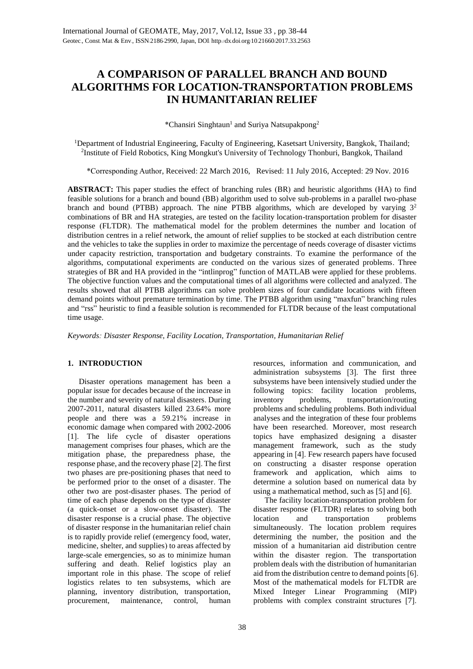# **A COMPARISON OF PARALLEL BRANCH AND BOUND ALGORITHMS FOR LOCATION***-***TRANSPORTATION PROBLEMS IN HUMANITARIAN RELIEF**

\*Chansiri Singhtaun<sup>1</sup> and Suriya Natsupakpong<sup>2</sup>

<sup>1</sup>Department of Industrial Engineering, Faculty of Engineering, Kasetsart University, Bangkok, Thailand; 2 Institute of Field Robotics, King Mongkut's University of Technology Thonburi, Bangkok, Thailand

\*Corresponding Author, Received: 22 March 2016, Revised: 11 July 2016, Accepted: 29 Nov. 2016

**ABSTRACT:** This paper studies the effect of branching rules (BR) and heuristic algorithms (HA) to find feasible solutions for a branch and bound (BB) algorithm used to solve sub-problems in a parallel two-phase branch and bound (PTBB) approach. The nine PTBB algorithms, which are developed by varying  $3<sup>2</sup>$ combinations of BR and HA strategies, are tested on the facility location-transportation problem for disaster response (FLTDR). The mathematical model for the problem determines the number and location of distribution centres in a relief network, the amount of relief supplies to be stocked at each distribution centre and the vehicles to take the supplies in order to maximize the percentage of needs coverage of disaster victims under capacity restriction, transportation and budgetary constraints. To examine the performance of the algorithms, computational experiments are conducted on the various sizes of generated problems. Three strategies of BR and HA provided in the "intlinprog" function of MATLAB were applied for these problems. The objective function values and the computational times of all algorithms were collected and analyzed. The results showed that all PTBB algorithms can solve problem sizes of four candidate locations with fifteen demand points without premature termination by time. The PTBB algorithm using "maxfun" branching rules and "rss" heuristic to find a feasible solution is recommended for FLTDR because of the least computational time usage.

*Keywords: Disaster Response, Facility Location, Transportation, Humanitarian Relief*

## **1. INTRODUCTION**

Disaster operations management has been a popular issue for decades because of the increase in the number and severity of natural disasters. During 2007-2011, natural disasters killed 23.64% more people and there was a 59.21% increase in economic damage when compared with 2002-2006 [1]. The life cycle of disaster operations management comprises four phases, which are the mitigation phase, the preparedness phase, the response phase, and the recovery phase [2]. The first two phases are pre-positioning phases that need to be performed prior to the onset of a disaster. The other two are post-disaster phases. The period of time of each phase depends on the type of disaster (a quick-onset or a slow-onset disaster). The disaster response is a crucial phase. The objective of disaster response in the humanitarian relief chain is to rapidly provide relief (emergency food, water, medicine, shelter, and supplies) to areas affected by large-scale emergencies, so as to minimize human suffering and death. Relief logistics play an important role in this phase. The scope of relief logistics relates to ten subsystems, which are planning, inventory distribution, transportation, procurement, maintenance, control, human

resources, information and communication, and administration subsystems [3]. The first three subsystems have been intensively studied under the following topics: facility location problems, inventory problems, transportation/routing problems and scheduling problems. Both individual analyses and the integration of these four problems have been researched. Moreover, most research topics have emphasized designing a disaster management framework, such as the study appearing in [4]. Few research papers have focused on constructing a disaster response operation framework and application, which aims to determine a solution based on numerical data by using a mathematical method, such as [5] and [6].

The facility location-transportation problem for disaster response (FLTDR) relates to solving both<br>location and transportation problems location and transportation simultaneously. The location problem requires determining the number, the position and the mission of a humanitarian aid distribution centre within the disaster region. The transportation problem deals with the distribution of humanitarian aid from the distribution centre to demand points [6]. Most of the mathematical models for FLTDR are Mixed Integer Linear Programming (MIP) problems with complex constraint structures [7].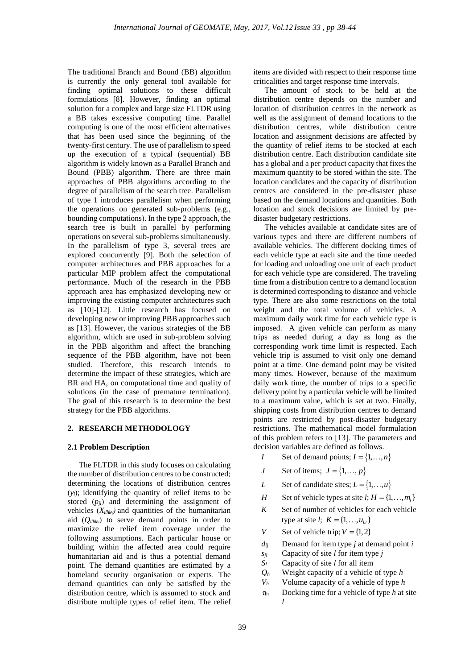The traditional Branch and Bound (BB) algorithm is currently the only general tool available for finding optimal solutions to these difficult formulations [8]. However, finding an optimal solution for a complex and large size FLTDR using a BB takes excessive computing time. Parallel computing is one of the most efficient alternatives that has been used since the beginning of the twenty-first century. The use of parallelism to speed up the execution of a typical (sequential) BB algorithm is widely known as a Parallel Branch and Bound (PBB) algorithm. There are three main approaches of PBB algorithms according to the degree of parallelism of the search tree. Parallelism of type 1 introduces parallelism when performing the operations on generated sub-problems (e.g., bounding computations). In the type 2 approach, the search tree is built in parallel by performing operations on several sub-problems simultaneously. In the parallelism of type 3, several trees are explored concurrently [9]. Both the selection of computer architectures and PBB approaches for a particular MIP problem affect the computational performance. Much of the research in the PBB approach area has emphasized developing new or improving the existing computer architectures such as [10]-[12]. Little research has focused on developing new or improving PBB approaches such as [13]. However, the various strategies of the BB algorithm, which are used in sub-problem solving in the PBB algorithm and affect the branching sequence of the PBB algorithm, have not been studied. Therefore, this research intends to determine the impact of these strategies, which are BR and HA, on computational time and quality of solutions (in the case of premature termination). The goal of this research is to determine the best strategy for the PBB algorithms.

### **2. RESEARCH METHODOLOGY**

### **2.1 Problem Description**

The FLTDR in this study focuses on calculating the number of distribution centres to be constructed; determining the locations of distribution centres (*yl*); identifying the quantity of relief items to be stored (*pjl*) and determining the assignment of vehicles  $(X_{ilhkv})$  and quantities of the humanitarian aid  $(O<sub>ilhkv</sub>)$  to serve demand points in order to maximize the relief item coverage under the following assumptions. Each particular house or building within the affected area could require humanitarian aid and is thus a potential demand point. The demand quantities are estimated by a homeland security organisation or experts. The demand quantities can only be satisfied by the distribution centre, which is assumed to stock and distribute multiple types of relief item. The relief

items are divided with respect to their response time criticalities and target response time intervals.

The amount of stock to be held at the distribution centre depends on the number and location of distribution centres in the network as well as the assignment of demand locations to the distribution centres, while distribution centre location and assignment decisions are affected by the quantity of relief items to be stocked at each distribution centre. Each distribution candidate site has a global and a per product capacity that fixes the maximum quantity to be stored within the site. The location candidates and the capacity of distribution centres are considered in the pre-disaster phase based on the demand locations and quantities. Both location and stock decisions are limited by predisaster budgetary restrictions.

The vehicles available at candidate sites are of various types and there are different numbers of available vehicles. The different docking times of each vehicle type at each site and the time needed for loading and unloading one unit of each product for each vehicle type are considered. The traveling time from a distribution centre to a demand location is determined corresponding to distance and vehicle type. There are also some restrictions on the total weight and the total volume of vehicles. A maximum daily work time for each vehicle type is imposed. A given vehicle can perform as many trips as needed during a day as long as the corresponding work time limit is respected. Each vehicle trip is assumed to visit only one demand point at a time. One demand point may be visited many times. However, because of the maximum daily work time, the number of trips to a specific delivery point by a particular vehicle will be limited to a maximum value, which is set at two. Finally, shipping costs from distribution centres to demand points are restricted by post-disaster budgetary restrictions. The mathematical model formulation of this problem refers to [13]. The parameters and decision variables are defined as follows.

- *I* Set of demand points;  $I = \{1, ..., n\}$
- *J* Set of items;  $J = \{1, ..., p\}$
- *L* Set of candidate sites;  $L = \{1, ..., u\}$
- *H* Set of vehicle types at site *l*;  $H = \{1, ..., m_l\}$
- $K$  Set of number of vehicles for each vehicle type at site *l*;  $K = \{1, ..., u_{hl}\}\$
- *V* Set of vehicle trip;  $V = \{1, 2\}$
- $d_{ii}$  Demand for item type *j* at demand point *i*
- *sjl* Capacity of site *l* for item type *j*
- *S<sup>l</sup>* Capacity of site *l* for all item
- *Q<sup>h</sup>* Weight capacity of a vehicle of type *h*
- *V<sup>h</sup>* Volume capacity of a vehicle of type *h*
- $\tau_{lh}$  Docking time for a vehicle of type *h* at site *l*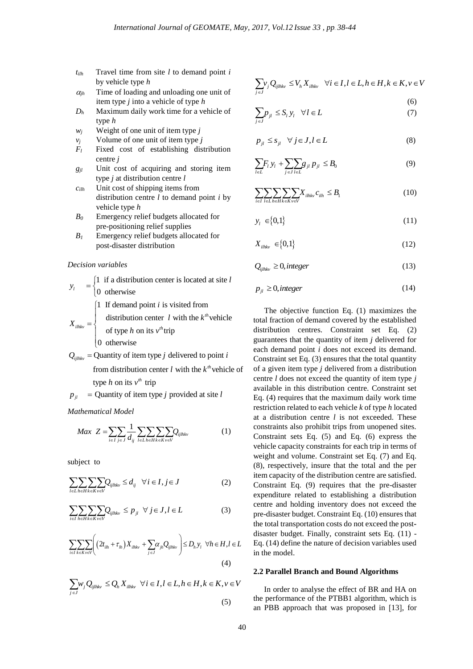- *tilh* Travel time from site *l* to demand point *i*  by vehicle type *h*
- $\alpha_{ih}$  Time of loading and unloading one unit of item type *j* into a vehicle of type *h*
- *D<sup>h</sup>* Maximum daily work time for a vehicle of type *h*
- $w_i$  Weight of one unit of item type *j*
- $v_i$  Volume of one unit of item type *j*
- *F<sup>l</sup>* Fixed cost of establishing distribution centre *j*
- *gjl* Unit cost of acquiring and storing item type *j* at distribution centre *l*
- *cilh* Unit cost of shipping items from distribution centre *l* to demand point *i* by vehicle type *h*
- *B<sup>0</sup>* Emergency relief budgets allocated for pre-positioning relief supplies
- *B<sup>1</sup>* Emergency relief budgets allocated for post-disaster distribution

#### *Decision variables*

 $\left\{\right.$ I

1 if a distribution center is located at site  $\vert 0$  otherwise *l*  $y_l = \begin{cases}$ l

1 If demand point  $i$  is visited from

$$
X_{m h} = \begin{cases} \text{distribution center} & l \text{ with the } k^{th} \text{ vehicle} \\ \end{cases}
$$

 $\int$  of type *h* on its  $v^h$ trip  $\begin{cases} \frac{1}{2} \\ 0 \end{cases}$  of type *h* on its *v* 

0 oth erwise

 $Q_{ijthkv}$  = Quantity of item type *j* delivered to point *i* 

from distribution center l with the  $k^h$  vehicle of type *h* on its  $v^h$  trip

$$
p_{jl}
$$
 = Quantity of item type *j* provided at site *l*

*Mathematical Model*

$$
Max \ Z = \sum_{i \in I} \sum_{j \in J} \frac{1}{d_{ij}} \sum_{l \in L} \sum_{h \in H} \sum_{k \in K} \sum_{v \in V} Q_{ijlhkv}
$$
 (1)

subject to

$$
\sum_{l\in L}\sum_{h\in H}\sum_{k\in K}\sum_{v\in V}Q_{ijlhkv} \leq d_{ij} \quad \forall i \in I, j \in J
$$
 (2)

$$
\sum_{i \in I} \sum_{h \in H} \sum_{k \in K} Q_{ijthkv} \le p_{jl} \ \ \forall \ j \in J, l \in L \tag{3}
$$

$$
\sum_{i \in I} \sum_{k \in K} \sum_{v \in V} \left( \left( 2t_{i1h} + \tau_{lh} \right) X_{i1hk} + \sum_{j \in J} \alpha_{jh} Q_{ijhk} \right) \le D_h y_l \ \ \forall h \in H, l \in L
$$
\n
$$
(4)
$$

$$
\sum_{j \in J} w_j Q_{ijthkv} \le Q_h X_{ilhk} \quad \forall i \in I, l \in L, h \in H, k \in K, v \in V
$$
\n(5)

$$
\sum_{j \in J} v_j Q_{ijthkv} \le V_h X_{ilhk} \quad \forall i \in I, l \in L, h \in H, k \in K, v \in V
$$
\n(6)

$$
\sum_{j \in J} p_{jl} \le S_l y_l \quad \forall l \in L \tag{7}
$$

$$
p_{jl} \leq s_{jl} \quad \forall j \in J, l \in L \tag{8}
$$

$$
\sum_{l \in L} F_l y_l + \sum_{j \in J} \sum_{l \in L} g_{jl} p_{jl} \le B_0 \tag{9}
$$

$$
\sum_{i \in I} \sum_{l \in L} \sum_{h \in H} \sum_{k \in K} \sum_{v \in V} X_{ilhkv} c_{ilh} \le B_1
$$
\n(10)

$$
y_l \in \{0, 1\} \tag{11}
$$

$$
X_{iihkv} \in \{0,1\} \tag{12}
$$

$$
Q_{ijlhkv} \ge 0, integer \tag{13}
$$

$$
p_{jl} \ge 0, integer \tag{14}
$$

The objective function Eq. (1) maximizes the total fraction of demand covered by the established distribution centres. Constraint set Eq. (2) guarantees that the quantity of item *j* delivered for each demand point *i* does not exceed its demand. Constraint set Eq. (3) ensures that the total quantity of a given item type *j* delivered from a distribution centre *l* does not exceed the quantity of item type *j* available in this distribution centre. Constraint set Eq. (4) requires that the maximum daily work time restriction related to each vehicle *k* of type *h* located at a distribution centre *l* is not exceeded. These constraints also prohibit trips from unopened sites. Constraint sets Eq. (5) and Eq. (6) express the vehicle capacity constraints for each trip in terms of weight and volume. Constraint set Eq. (7) and Eq. (8), respectively, insure that the total and the per item capacity of the distribution centre are satisfied. Constraint Eq. (9) requires that the pre-disaster expenditure related to establishing a distribution centre and holding inventory does not exceed the pre-disaster budget. Constraint Eq. (10) ensures that the total transportation costs do not exceed the postdisaster budget. Finally, constraint sets Eq. (11) - Eq. (14) define the nature of decision variables used in the model.

## **2.2 Parallel Branch and Bound Algorithms**

In order to analyse the effect of BR and HA on the performance of the PTBB1 algorithm, which is an PBB approach that was proposed in [13], for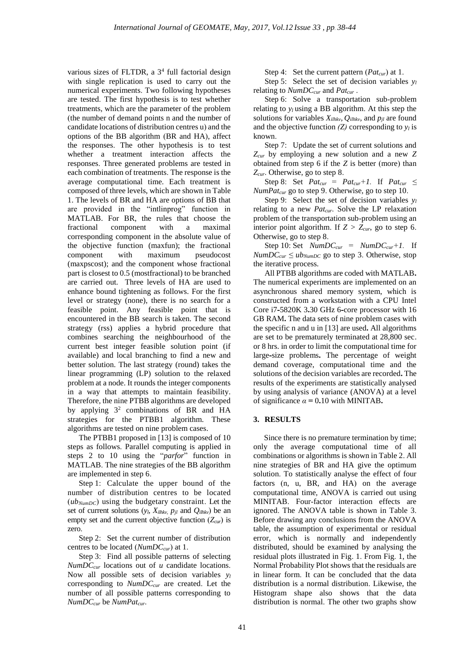various sizes of FLTDR, a  $3<sup>4</sup>$  full factorial design with single replication is used to carry out the numerical experiments. Two following hypotheses are tested. The first hypothesis is to test whether treatments, which are the parameter of the problem (the number of demand points n and the number of candidate locations of distribution centres u) and the options of the BB algorithm (BR and HA), affect the responses. The other hypothesis is to test whether a treatment interaction affects the responses. Three generated problems are tested in each combination of treatments. The response is the average computational time. Each treatment is composed of three levels, which are shown in Table 1. The levels of BR and HA are options of BB that are provided in the "intlinprog" function in MATLAB. For BR, the rules that choose the fractional component with a maximal corresponding component in the absolute value of the objective function (maxfun); the fractional component with maximum pseudocost (maxpscost); and the component whose fractional part is closest to 0.5 (mostfractional) to be branched are carried out. Three levels of HA are used to enhance bound tightening as follows. For the first level or strategy (none), there is no search for a feasible point. Any feasible point that is encountered in the BB search is taken. The second strategy (rss) applies a hybrid procedure that combines searching the neighbourhood of the current best integer feasible solution point (if available) and local branching to find a new and better solution. The last strategy (round) takes the linear programming (LP) solution to the relaxed problem at a node. It rounds the integer components in a way that attempts to maintain feasibility. Therefore, the nine PTBB algorithms are developed by applying 3 2 combinations of BR and HA strategies for the PTBB1 algorithm. These algorithms are tested on nine problem cases.

The PTBB1 proposed in [13] is composed of 10 steps as follows. Parallel computing is applied in steps 2 to 10 using the "*parfor*" function in MATLAB. The nine strategies of the BB algorithm are implemented in step 6.

Step 1: Calculate the upper bound of the number of distribution centres to be located (*ubNumDC*) using the budgetary constraint. Let the set of current solutions  $(y_l, X_{ilhkv}, p_{jl}$  and  $Q_{ilhkv}$ ) be an empty set and the current objective function (*Zcur*) is zero.

Step 2: Set the current number of distribution centres to be located (*NumDCcur*) at 1.

Step 3: Find all possible patterns of selecting *NumDCcur* locations out of *u* candidate locations. Now all possible sets of decision variables *y<sup>l</sup>* corresponding to *NumDCcur* are created. Let the number of all possible patterns corresponding to *NumDCcur* be *NumPatcur*.

Step 4: Set the current pattern (*Patcur*) at 1.

Step 5: Select the set of decision variables *y<sup>l</sup>* relating to *NumDCcur* and *Patcur* .

Step 6: Solve a transportation sub-problem relating to  $y_l$  using a BB algorithm. At this step the solutions for variables  $X_{i}$ *ilhkv*,  $Q_{i}$ *ilhkv*, and  $p_{i}$ *l* are found and the objective function  $(Z)$  corresponding to  $y_l$  is known.

Step 7: Update the set of current solutions and *Zcur* by employing a new solution and a new *Z* obtained from step 6 if the *Z* is better (more) than *Zcur*. Otherwise, go to step 8.

Step 8: Set  $Pat_{cur} = Pat_{cur} + 1$ . If  $Pat_{cur} \leq$ *NumPatcur* go to step 9. Otherwise, go to step 10.

Step 9: Select the set of decision variables *y<sup>l</sup>* relating to a new *Patcur*. Solve the LP relaxation problem of the transportation sub-problem using an interior point algorithm. If  $Z > Z_{cur}$ , go to step 6. Otherwise, go to step 8.

Step 10: Set *NumDCcur = NumDCcur+1.* If  $NumDC_{cur} \leq ub_{NumDC}$  go to step 3. Otherwise, stop the iterative process.

All PTBB algorithms are coded with MATLAB**.**  The numerical experiments are implemented on an asynchronous shared memory system, which is constructed from a workstation with a CPU Intel Core i7**-**5820K 3**.**30 GHz 6**-**core processor with 16 GB RAM**.** The data sets of nine problem cases with the specific n and u in [13] are used**.** All algorithms are set to be prematurely terminated at 28,800 sec. or 8 hrs. in order to limit the computational time for large**-**size problems**.** The percentage of weight demand coverage, computational time and the solutions of the decision variables are recorded**.** The results of the experiments are statistically analysed by using analysis of variance (ANOVA) at a level of significance  $\alpha = 0.10$  with MINITAB.

#### **3. RESULTS**

Since there is no premature termination by time; only the average computational time of all combinations or algorithms is shown in Table 2. All nine strategies of BR and HA give the optimum solution. To statistically analyse the effect of four factors (n, u, BR, and HA) on the average computational time, ANOVA is carried out using MINITAB. Four-factor interaction effects are ignored. The ANOVA table is shown in Table 3. Before drawing any conclusions from the ANOVA table, the assumption of experimental or residual error, which is normally and independently distributed, should be examined by analysing the residual plots illustrated in Fig. 1. From Fig. 1, the Normal Probability Plot shows that the residuals are in linear form. It can be concluded that the data distribution is a normal distribution. Likewise, the Histogram shape also shows that the data distribution is normal. The other two graphs show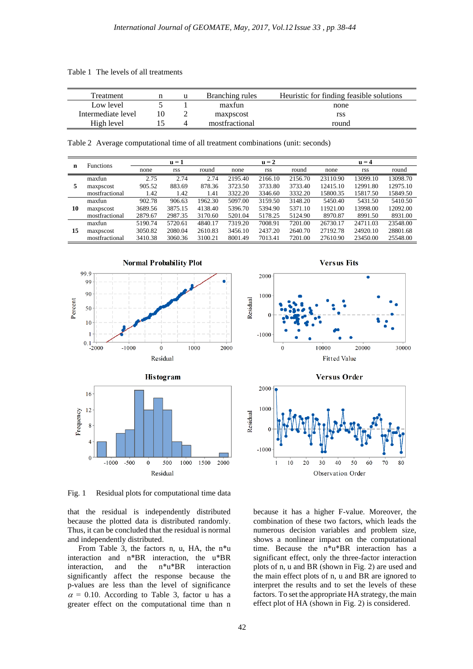Table 1 The levels of all treatments

| Treatment          |    | Branching rules | Heuristic for finding feasible solutions |
|--------------------|----|-----------------|------------------------------------------|
| Low level          |    | maxfun          | none                                     |
| Intermediate level | 10 | maxpscost       | rss                                      |
| High level         |    | mostfractional  | round                                    |

Table 2 Average computational time of all treatment combinations (unit: seconds)

| n  | <b>Functions</b> | $u = 1$ |         |         | $u = 2$ |         |         | $u = 4$  |            |          |
|----|------------------|---------|---------|---------|---------|---------|---------|----------|------------|----------|
|    |                  | none    | rss     | round   | none    | rss     | round   | none     | <b>rss</b> | round    |
| 5  | maxfun           | 2.75    | 2.74    | 2.74    | 2195.40 | 2166.10 | 2156.70 | 23110.90 | 13099.10   | 13098.70 |
|    | maxpscost        | 905.52  | 883.69  | 878.36  | 3723.50 | 3733.80 | 3733.40 | 12415.10 | 12991.80   | 12975.10 |
|    | mostfractional   | 1.42    | 1.42    | 1.41    | 3322.20 | 3346.60 | 3332.20 | 15800.35 | 15817.50   | 15849.50 |
| 10 | maxfun           | 902.78  | 906.63  | 1962.30 | 5097.00 | 3159.50 | 3148.20 | 5450.40  | 5431.50    | 5410.50  |
|    | maxpscost        | 3689.56 | 3875.15 | 4138.40 | 5396.70 | 5394.90 | 5371.10 | 11921.00 | 13998.00   | 12092.00 |
|    | mostfractional   | 2879.67 | 2987.35 | 3170.60 | 5201.04 | 5178.25 | 5124.90 | 8970.87  | 8991.50    | 8931.00  |
| 15 | maxfun           | 5190.74 | 5720.61 | 4840.17 | 7319.20 | 7008.91 | 7201.00 | 26730.17 | 24711.03   | 23548.00 |
|    | maxpscost        | 3050.82 | 2080.04 | 2610.83 | 3456.10 | 2437.20 | 2640.70 | 27192.78 | 24920.10   | 28801.68 |
|    | mostfractional   | 3410.38 | 3060.36 | 3100.21 | 8001.49 | 7013.41 | 7201.00 | 27610.90 | 23450.00   | 25548.00 |



Fig. 1 Residual plots for computational time data

that the residual is independently distributed because the plotted data is distributed randomly. Thus, it can be concluded that the residual is normal and independently distributed.

From Table 3, the factors n, u, HA, the n\*u interaction and n\*BR interaction, the u\*BR interaction, and the n\*u\*BR interaction significantly affect the response because the p-values are less than the level of significance  $\alpha$  = 0.10. According to Table 3, factor u has a greater effect on the computational time than n





because it has a higher F-value. Moreover, the combination of these two factors, which leads the numerous decision variables and problem size, shows a nonlinear impact on the computational time. Because the n\*u\*BR interaction has a significant effect, only the three-factor interaction plots of n, u and BR (shown in Fig. 2) are used and the main effect plots of n, u and BR are ignored to interpret the results and to set the levels of these factors. To set the appropriate HA strategy, the main effect plot of HA (shown in Fig. 2) is considered.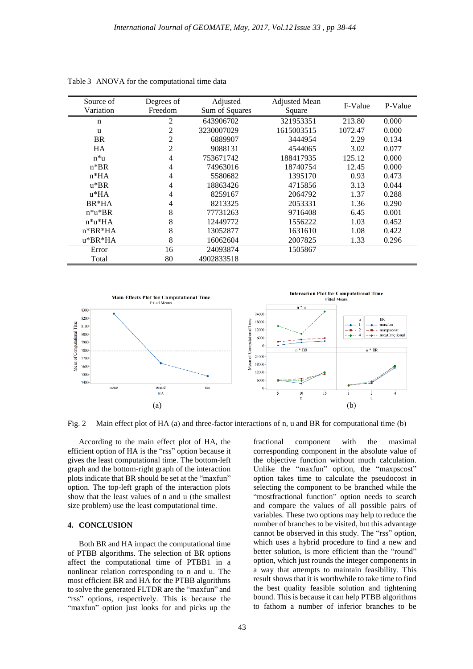| Source of   | Degrees of     | Adjusted                 | <b>Adjusted Mean</b> | F-Value | P-Value |
|-------------|----------------|--------------------------|----------------------|---------|---------|
| Variation   | Freedom        | Sum of Squares<br>Square |                      |         |         |
| $\mathbf n$ | $\overline{c}$ | 643906702                | 321953351            | 213.80  | 0.000   |
| u           | 2              | 3230007029               | 1615003515           | 1072.47 | 0.000   |
| <b>BR</b>   | 2              | 6889907                  | 3444954              | 2.29    | 0.134   |
| <b>HA</b>   | $\mathfrak{2}$ | 9088131                  | 4544065              | 3.02    | 0.077   |
| $n^*u$      | 4              | 753671742                | 188417935            | 125.12  | 0.000   |
| $n*BR$      | 4              | 74963016                 | 18740754             | 12.45   | 0.000   |
| $n*HA$      | 4              | 5580682                  | 1395170              | 0.93    | 0.473   |
| $u*BR$      | 4              | 18863426                 | 4715856              | 3.13    | 0.044   |
| $u*HA$      | 4              | 8259167                  | 2064792              | 1.37    | 0.288   |
| $BR*HA$     | 4              | 8213325                  | 2053331              | 1.36    | 0.290   |
| $n^*u^*BR$  | 8              | 77731263                 | 9716408              | 6.45    | 0.001   |
| $n^*u^*HA$  | 8              | 12449772                 | 1556222              | 1.03    | 0.452   |
| $n*BR*HA$   | 8              | 13052877                 | 1631610              | 1.08    | 0.422   |
| $u*BR*HA$   | 8              | 16062604                 | 2007825              | 1.33    | 0.296   |
| Error       | 16             | 24093874                 | 1505867              |         |         |
| Total       | 80             | 4902833518               |                      |         |         |

Table 3 ANOVA for the computational time data



Fig. 2 Main effect plot of HA (a) and three-factor interactions of n, u and BR for computational time (b)

According to the main effect plot of HA, the efficient option of HA is the "rss" option because it gives the least computational time. The bottom-left graph and the bottom-right graph of the interaction plots indicate that BR should be set at the "maxfun" option. The top-left graph of the interaction plots show that the least values of n and u (the smallest size problem) use the least computational time.

## **4. CONCLUSION**

Both BR and HA impact the computational time of PTBB algorithms. The selection of BR options affect the computational time of PTBB1 in a nonlinear relation corresponding to n and u. The most efficient BR and HA for the PTBB algorithms to solve the generated FLTDR are the "maxfun" and "rss" options, respectively. This is because the "maxfun" option just looks for and picks up the

fractional component with the maximal corresponding component in the absolute value of the objective function without much calculation. Unlike the "maxfun" option, the "maxpscost" option takes time to calculate the pseudocost in selecting the component to be branched while the "mostfractional function" option needs to search and compare the values of all possible pairs of variables. These two options may help to reduce the number of branches to be visited, but this advantage cannot be observed in this study. The "rss" option, which uses a hybrid procedure to find a new and better solution, is more efficient than the "round" option, which just rounds the integer components in a way that attempts to maintain feasibility. This result shows that it is worthwhile to take time to find the best quality feasible solution and tightening bound. This is because it can help PTBB algorithms to fathom a number of inferior branches to be